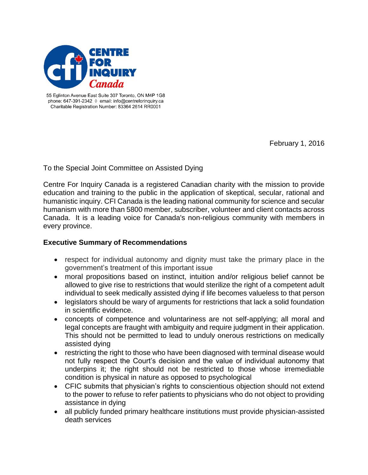

55 Eglinton Avenue East Suite 307 Toronto, ON M4P 1G8 phone: 647-391-2342 ◊ email: info@centreforinquiry.ca Charitable Registration Number: 83364 2614 RR0001

February 1, 2016

To the Special Joint Committee on Assisted Dying

Centre For Inquiry Canada is a registered Canadian charity with the mission to provide education and training to the public in the application of skeptical, secular, rational and humanistic inquiry. CFI Canada is the leading national community for science and secular humanism with more than 5800 member, subscriber, volunteer and client contacts across Canada. It is a leading voice for Canada's non-religious community with members in every province.

## **Executive Summary of Recommendations**

- respect for individual autonomy and dignity must take the primary place in the government's treatment of this important issue
- moral propositions based on instinct, intuition and/or religious belief cannot be allowed to give rise to restrictions that would sterilize the right of a competent adult individual to seek medically assisted dying if life becomes valueless to that person
- legislators should be wary of arguments for restrictions that lack a solid foundation in scientific evidence.
- concepts of competence and voluntariness are not self-applying; all moral and legal concepts are fraught with ambiguity and require judgment in their application. This should not be permitted to lead to unduly onerous restrictions on medically assisted dying
- restricting the right to those who have been diagnosed with terminal disease would not fully respect the Court's decision and the value of individual autonomy that underpins it; the right should not be restricted to those whose irremediable condition is physical in nature as opposed to psychological
- CFIC submits that physician's rights to conscientious objection should not extend to the power to refuse to refer patients to physicians who do not object to providing assistance in dying
- all publicly funded primary healthcare institutions must provide physician-assisted death services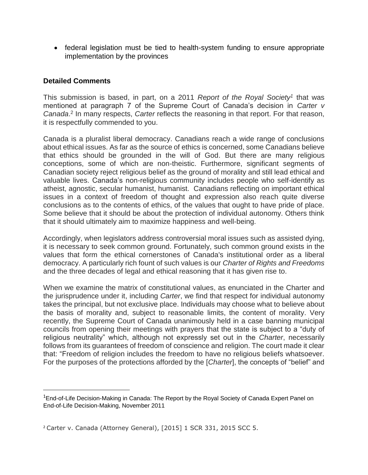federal legislation must be tied to health-system funding to ensure appropriate implementation by the provinces

## **Detailed Comments**

 $\overline{a}$ 

This submission is based, in part, on a 2011 *Report of the Royal Society<sup>1</sup>* that was mentioned at paragraph 7 of the Supreme Court of Canada's decision in *Carter v Canada*. 2 In many respects, *Carter* reflects the reasoning in that report. For that reason, it is respectfully commended to you.

Canada is a pluralist liberal democracy. Canadians reach a wide range of conclusions about ethical issues. As far as the source of ethics is concerned, some Canadians believe that ethics should be grounded in the will of God. But there are many religious conceptions, some of which are non-theistic. Furthermore, significant segments of Canadian society reject religious belief as the ground of morality and still lead ethical and valuable lives. Canada's non-religious community includes people who self-identify as atheist, agnostic, secular humanist, humanist. Canadians reflecting on important ethical issues in a context of freedom of thought and expression also reach quite diverse conclusions as to the contents of ethics, of the values that ought to have pride of place. Some believe that it should be about the protection of individual autonomy. Others think that it should ultimately aim to maximize happiness and well-being.

Accordingly, when legislators address controversial moral issues such as assisted dying, it is necessary to seek common ground. Fortunately, such common ground exists in the values that form the ethical cornerstones of Canada's institutional order as a liberal democracy. A particularly rich fount of such values is our *Charter of Rights and Freedoms* and the three decades of legal and ethical reasoning that it has given rise to.

When we examine the matrix of constitutional values, as enunciated in the Charter and the jurisprudence under it, including *Carter*, we find that respect for individual autonomy takes the principal, but not exclusive place. Individuals may choose what to believe about the basis of morality and, subject to reasonable limits, the content of morality. Very recently, the Supreme Court of Canada unanimously held in a case banning municipal councils from opening their meetings with prayers that the state is subject to a "duty of religious neutrality" which, although not expressly set out in the *Charter*, necessarily follows from its guarantees of freedom of conscience and religion. The court made it clear that: "Freedom of religion includes the freedom to have no religious beliefs whatsoever. For the purposes of the protections afforded by the [*Charter*], the concepts of "belief" and

<sup>&</sup>lt;sup>1</sup>End-of-Life Decision-Making in Canada: The Report by the Royal Society of Canada Expert Panel on End-of-Life Decision-Making, November 2011

<sup>2</sup> Carter v. Canada (Attorney General), [2015] 1 SCR 331, 2015 SCC 5.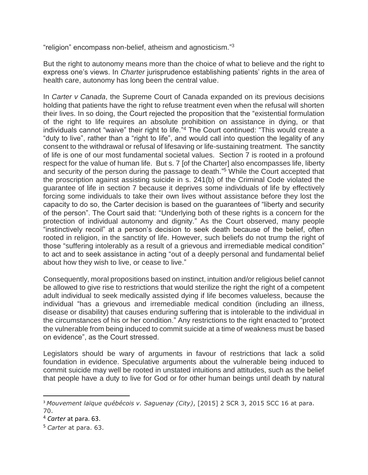"religion" encompass non-belief, atheism and agnosticism." 3

But the right to autonomy means more than the choice of what to believe and the right to express one's views. In *Charter* jurisprudence establishing patients' rights in the area of health care, autonomy has long been the central value.

In *Carter v Canada*, the Supreme Court of Canada expanded on its previous decisions holding that patients have the right to refuse treatment even when the refusal will shorten their lives. In so doing, the Court rejected the proposition that the "existential formulation of the right to life requires an absolute prohibition on assistance in dying, or that individuals cannot "waive" their right to life." <sup>4</sup> The Court continued: "This would create a "duty to live", rather than a "right to life", and would call into question the legality of any consent to the withdrawal or refusal of lifesaving or life-sustaining treatment. The sanctity of life is one of our most fundamental societal values. Section 7 is rooted in a profound respect for the value of human life. But s. 7 [of the Charter] also encompasses life, liberty and security of the person during the passage to death." <sup>5</sup> While the Court accepted that the proscription against assisting suicide in s. 241(b) of the Criminal Code violated the guarantee of life in section 7 because it deprives some individuals of life by effectively forcing some individuals to take their own lives without assistance before they lost the capacity to do so, the Carter decision is based on the guarantees of "liberty and security of the person". The Court said that: "Underlying both of these rights is a concern for the protection of individual autonomy and dignity." As the Court observed, many people "instinctively recoil" at a person's decision to seek death because of the belief, often rooted in religion, in the sanctity of life. However, such beliefs do not trump the right of those "suffering intolerably as a result of a grievous and irremediable medical condition" to act and to seek assistance in acting "out of a deeply personal and fundamental belief about how they wish to live, or cease to live."

Consequently, moral propositions based on instinct, intuition and/or religious belief cannot be allowed to give rise to restrictions that would sterilize the right the right of a competent adult individual to seek medically assisted dying if life becomes valueless, because the individual "has a grievous and irremediable medical condition (including an illness, disease or disability) that causes enduring suffering that is intolerable to the individual in the circumstances of his or her condition." Any restrictions to the right enacted to "protect the vulnerable from being induced to commit suicide at a time of weakness must be based on evidence", as the Court stressed.

Legislators should be wary of arguments in favour of restrictions that lack a solid foundation in evidence. Speculative arguments about the vulnerable being induced to commit suicide may well be rooted in unstated intuitions and attitudes, such as the belief that people have a duty to live for God or for other human beings until death by natural

 $\overline{a}$ 

<sup>3</sup> *Mouvement laïque québécois v. Saguenay (City)*, [2015] 2 SCR 3, 2015 SCC 16 at para. 70.

<sup>4</sup> *Carter* at para. 63.

<sup>5</sup> *Carter* at para. 63.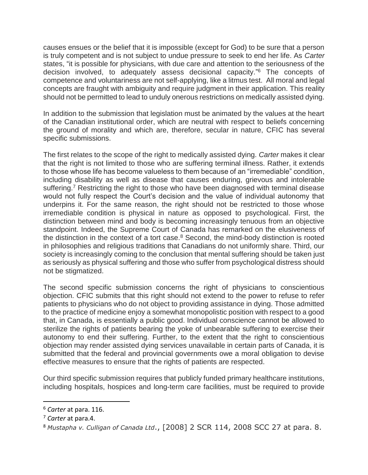causes ensues or the belief that it is impossible (except for God) to be sure that a person is truly competent and is not subject to undue pressure to seek to end her life. As *Carter* states, "it is possible for physicians, with due care and attention to the seriousness of the decision involved, to adequately assess decisional capacity." <sup>6</sup> The concepts of competence and voluntariness are not self-applying, like a litmus test. All moral and legal concepts are fraught with ambiguity and require judgment in their application. This reality should not be permitted to lead to unduly onerous restrictions on medically assisted dying.

In addition to the submission that legislation must be animated by the values at the heart of the Canadian institutional order, which are neutral with respect to beliefs concerning the ground of morality and which are, therefore, secular in nature, CFIC has several specific submissions.

The first relates to the scope of the right to medically assisted dying. *Carter* makes it clear that the right is not limited to those who are suffering terminal illness. Rather, it extends to those whose life has become valueless to them because of an "irremediable" condition, including disability as well as disease that causes enduring, grievous and intolerable suffering.<sup>7</sup> Restricting the right to those who have been diagnosed with terminal disease would not fully respect the Court's decision and the value of individual autonomy that underpins it. For the same reason, the right should not be restricted to those whose irremediable condition is physical in nature as opposed to psychological. First, the distinction between mind and body is becoming increasingly tenuous from an objective standpoint. Indeed, the Supreme Court of Canada has remarked on the elusiveness of the distinction in the context of a tort case.<sup>8</sup> Second, the mind-body distinction is rooted in philosophies and religious traditions that Canadians do not uniformly share. Third, our society is increasingly coming to the conclusion that mental suffering should be taken just as seriously as physical suffering and those who suffer from psychological distress should not be stigmatized.

The second specific submission concerns the right of physicians to conscientious objection. CFIC submits that this right should not extend to the power to refuse to refer patients to physicians who do not object to providing assistance in dying. Those admitted to the practice of medicine enjoy a somewhat monopolistic position with respect to a good that, in Canada, is essentially a public good. Individual conscience cannot be allowed to sterilize the rights of patients bearing the yoke of unbearable suffering to exercise their autonomy to end their suffering. Further, to the extent that the right to conscientious objection may render assisted dying services unavailable in certain parts of Canada, it is submitted that the federal and provincial governments owe a moral obligation to devise effective measures to ensure that the rights of patients are respected.

Our third specific submission requires that publicly funded primary healthcare institutions, including hospitals, hospices and long-term care facilities, must be required to provide

 $\overline{a}$ 

<sup>6</sup> *Carter* at para. 116.

<sup>7</sup> *Carter* at para.4.

<sup>8</sup> *Mustapha v. Culligan of Canada Ltd*., [2008] 2 SCR 114, 2008 SCC 27 at para. 8.